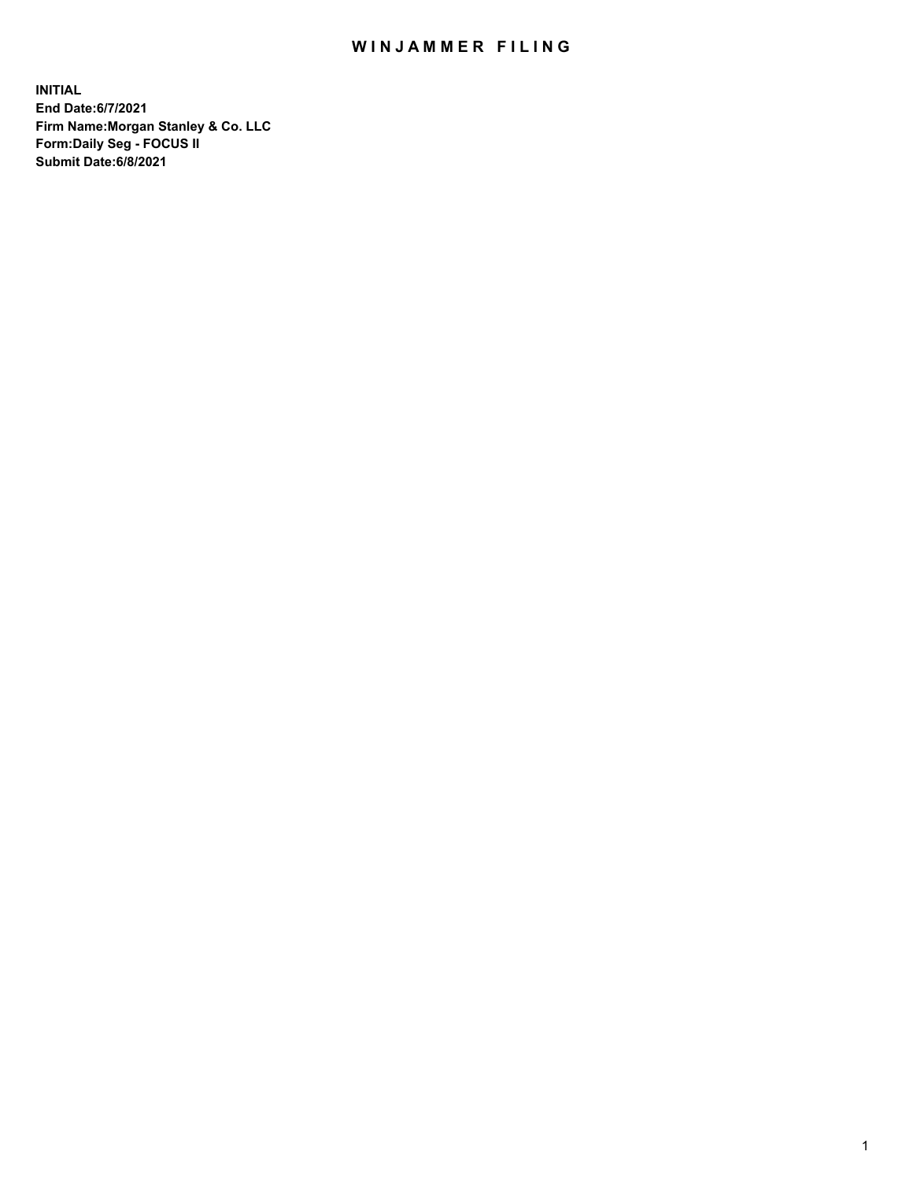## WIN JAMMER FILING

**INITIAL End Date:6/7/2021 Firm Name:Morgan Stanley & Co. LLC Form:Daily Seg - FOCUS II Submit Date:6/8/2021**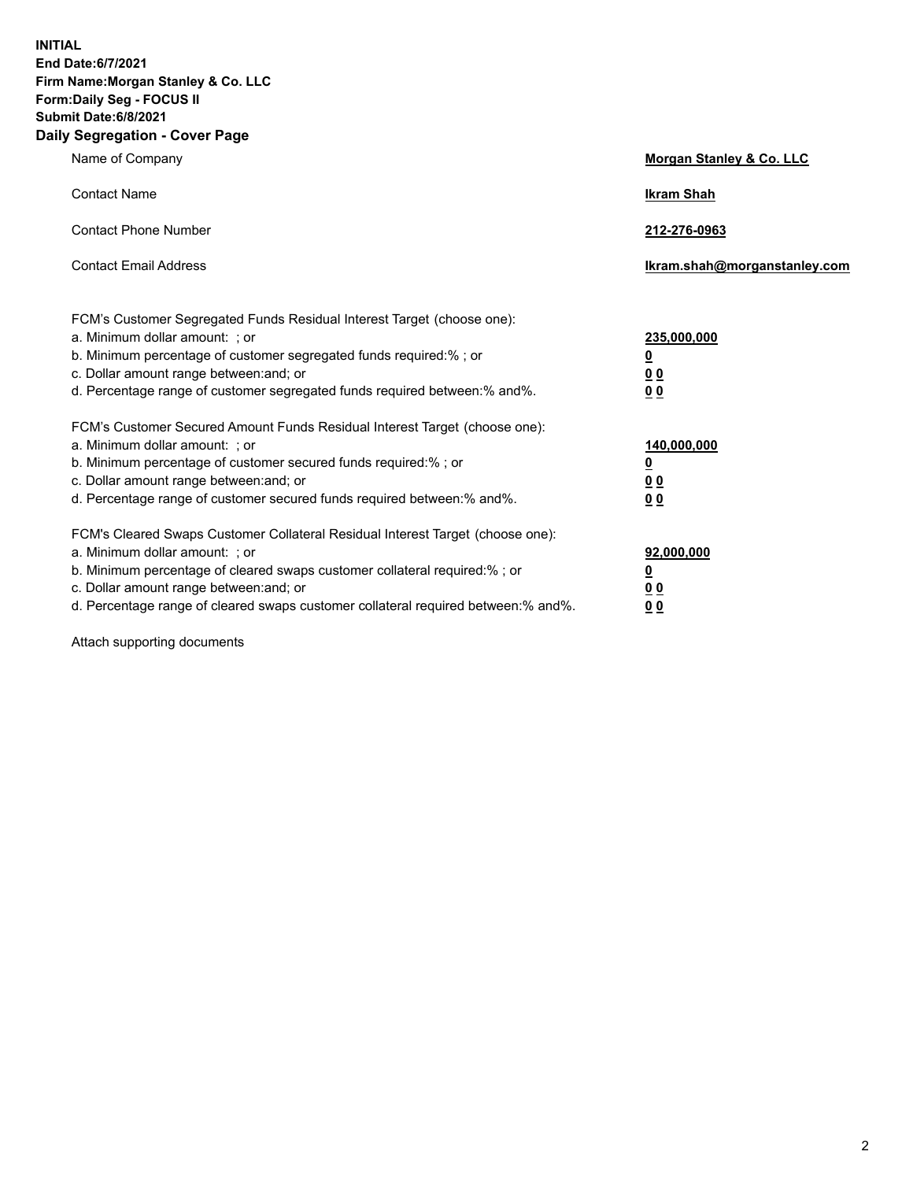**INITIAL End Date:6/7/2021 Firm Name:Morgan Stanley & Co. LLC Form:Daily Seg - FOCUS II Submit Date:6/8/2021 Daily Segregation - Cover Page**

| Name of Company                                                                                                                                                                                                                                                                                                                | Morgan Stanley & Co. LLC                                   |
|--------------------------------------------------------------------------------------------------------------------------------------------------------------------------------------------------------------------------------------------------------------------------------------------------------------------------------|------------------------------------------------------------|
| <b>Contact Name</b>                                                                                                                                                                                                                                                                                                            | <b>Ikram Shah</b>                                          |
| <b>Contact Phone Number</b>                                                                                                                                                                                                                                                                                                    | 212-276-0963                                               |
| <b>Contact Email Address</b>                                                                                                                                                                                                                                                                                                   | lkram.shah@morganstanley.com                               |
| FCM's Customer Segregated Funds Residual Interest Target (choose one):<br>a. Minimum dollar amount: ; or<br>b. Minimum percentage of customer segregated funds required:% ; or<br>c. Dollar amount range between: and; or<br>d. Percentage range of customer segregated funds required between:% and%.                         | 235,000,000<br><u>0</u><br><u>00</u><br>0 <sup>0</sup>     |
| FCM's Customer Secured Amount Funds Residual Interest Target (choose one):<br>a. Minimum dollar amount: ; or<br>b. Minimum percentage of customer secured funds required:%; or<br>c. Dollar amount range between: and; or<br>d. Percentage range of customer secured funds required between:% and%.                            | 140,000,000<br><u>0</u><br><u>0 0</u><br>0 Q               |
| FCM's Cleared Swaps Customer Collateral Residual Interest Target (choose one):<br>a. Minimum dollar amount: ; or<br>b. Minimum percentage of cleared swaps customer collateral required:% ; or<br>c. Dollar amount range between: and; or<br>d. Percentage range of cleared swaps customer collateral required between:% and%. | 92,000,000<br><u>0</u><br>0 <sup>0</sup><br>0 <sub>0</sub> |

Attach supporting documents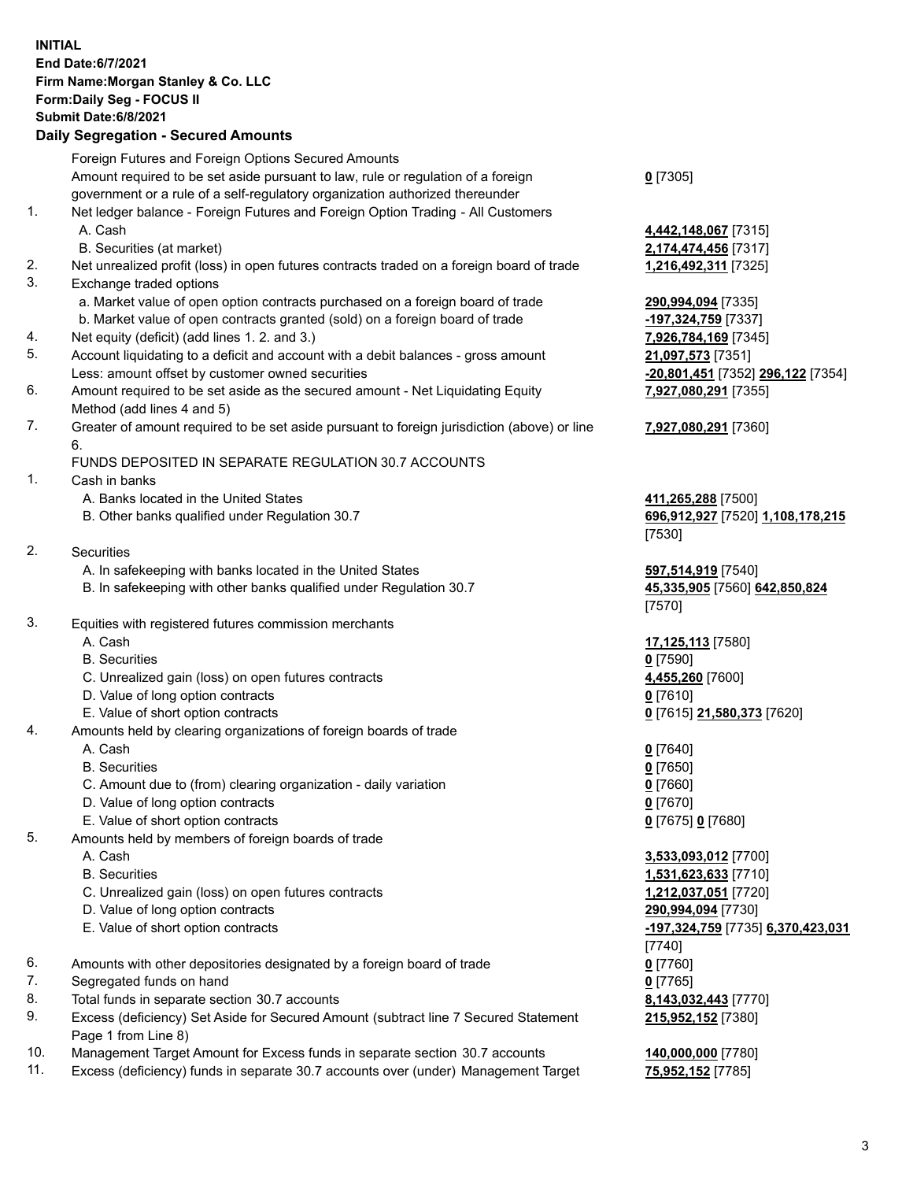## **INITIAL End Date:6/7/2021 Firm Name:Morgan Stanley & Co. LLC Form:Daily Seg - FOCUS II Submit Date:6/8/2021 Daily Segregation - Secured Amounts**

Foreign Futures and Foreign Options Secured Amounts Amount required to be set aside pursuant to law, rule or regulation of a foreign government or a rule of a self-regulatory organization authorized thereunder 1. Net ledger balance - Foreign Futures and Foreign Option Trading - All Customers A. Cash **4,442,148,067** [7315] B. Securities (at market) **2,174,474,456** [7317] 2. Net unrealized profit (loss) in open futures contracts traded on a foreign board of trade **1,216,492,311** [7325] 3. Exchange traded options a. Market value of open option contracts purchased on a foreign board of trade **290,994,094** [7335] b. Market value of open contracts granted (sold) on a foreign board of trade **-197,324,759** [7337] 4. Net equity (deficit) (add lines 1. 2. and 3.) **7,926,784,169** [7345] 5. Account liquidating to a deficit and account with a debit balances - gross amount **21,097,573** [7351] Less: amount offset by customer owned securities **-20,801,451** [7352] **296,122** [7354] 6. Amount required to be set aside as the secured amount - Net Liquidating Equity Method (add lines 4 and 5) 7. Greater of amount required to be set aside pursuant to foreign jurisdiction (above) or line 6. FUNDS DEPOSITED IN SEPARATE REGULATION 30.7 ACCOUNTS 1. Cash in banks A. Banks located in the United States **411,265,288** [7500] B. Other banks qualified under Regulation 30.7 **696,912,927** [7520] **1,108,178,215** 2. Securities A. In safekeeping with banks located in the United States **597,514,919** [7540] B. In safekeeping with other banks qualified under Regulation 30.7 **45,335,905** [7560] **642,850,824** 3. Equities with registered futures commission merchants A. Cash **17,125,113** [7580] B. Securities **0** [7590]

- C. Unrealized gain (loss) on open futures contracts **4,455,260** [7600]
- D. Value of long option contracts **0** [7610]
- E. Value of short option contracts **0** [7615] **21,580,373** [7620]
- 4. Amounts held by clearing organizations of foreign boards of trade
	- A. Cash **0** [7640]
	- B. Securities **0** [7650]
	- C. Amount due to (from) clearing organization daily variation **0** [7660]
	- D. Value of long option contracts **0** [7670]
	- E. Value of short option contracts **0** [7675] **0** [7680]
- 5. Amounts held by members of foreign boards of trade
	-
	-
	- C. Unrealized gain (loss) on open futures contracts **1,212,037,051** [7720]
	- D. Value of long option contracts **290,994,094** [7730]
	- E. Value of short option contracts **-197,324,759** [7735] **6,370,423,031**
- 6. Amounts with other depositories designated by a foreign board of trade **0** [7760]
- 7. Segregated funds on hand **0** [7765]
- 8. Total funds in separate section 30.7 accounts **8,143,032,443** [7770]
- 9. Excess (deficiency) Set Aside for Secured Amount (subtract line 7 Secured Statement Page 1 from Line 8)
- 10. Management Target Amount for Excess funds in separate section 30.7 accounts **140,000,000** [7780]
- 11. Excess (deficiency) funds in separate 30.7 accounts over (under) Management Target **75,952,152** [7785]

**0** [7305]

**7,927,080,291** [7355]

## **7,927,080,291** [7360]

[7530]

[7570]

 A. Cash **3,533,093,012** [7700] B. Securities **1,531,623,633** [7710] [7740] **215,952,152** [7380]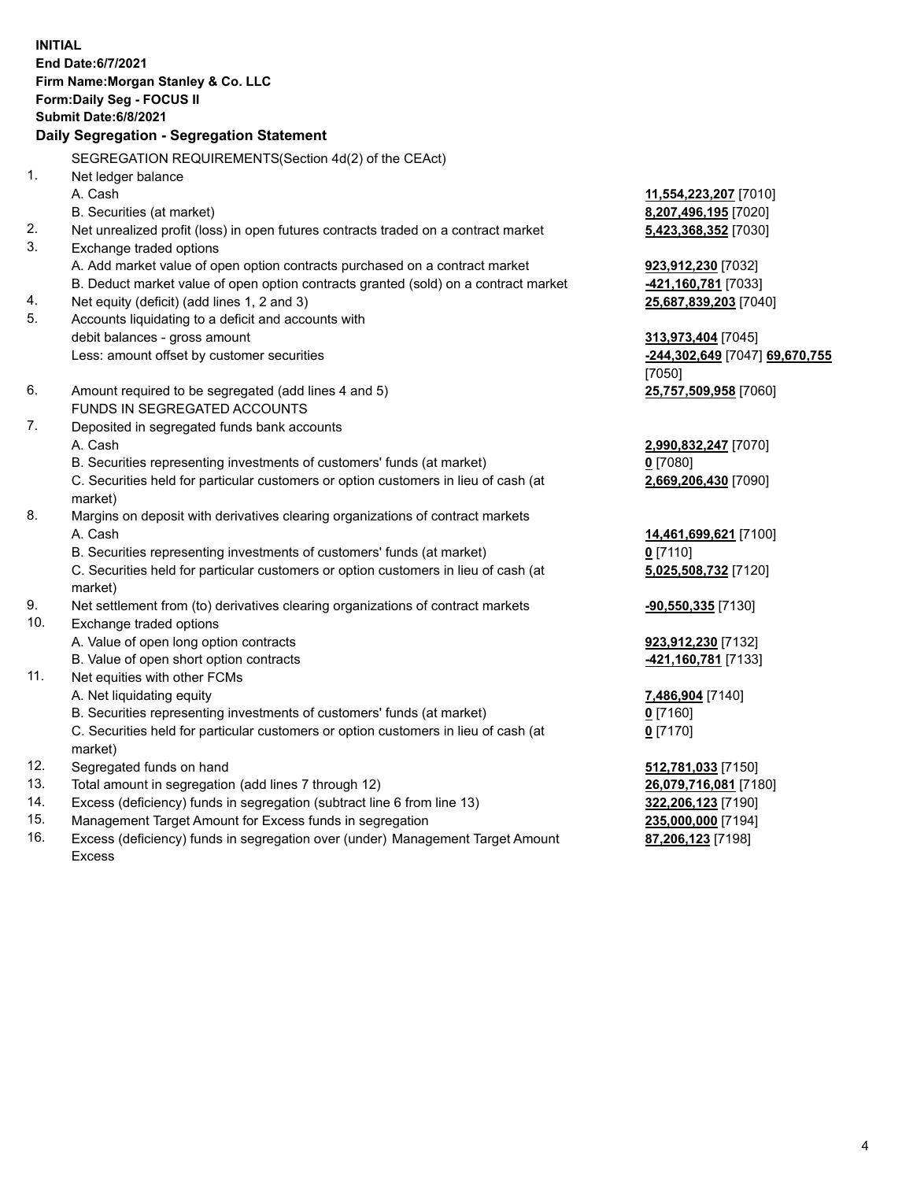**INITIAL End Date:6/7/2021 Firm Name:Morgan Stanley & Co. LLC Form:Daily Seg - FOCUS II Submit Date:6/8/2021 Daily Segregation - Segregation Statement** SEGREGATION REQUIREMENTS(Section 4d(2) of the CEAct) 1. Net ledger balance A. Cash **11,554,223,207** [7010] B. Securities (at market) **8,207,496,195** [7020] 2. Net unrealized profit (loss) in open futures contracts traded on a contract market **5,423,368,352** [7030] 3. Exchange traded options A. Add market value of open option contracts purchased on a contract market **923,912,230** [7032] B. Deduct market value of open option contracts granted (sold) on a contract market **-421,160,781** [7033] 4. Net equity (deficit) (add lines 1, 2 and 3) **25,687,839,203** [7040] 5. Accounts liquidating to a deficit and accounts with debit balances - gross amount **313,973,404** [7045] Less: amount offset by customer securities **-244,302,649** [7047] **69,670,755** [7050] 6. Amount required to be segregated (add lines 4 and 5) **25,757,509,958** [7060] FUNDS IN SEGREGATED ACCOUNTS 7. Deposited in segregated funds bank accounts A. Cash **2,990,832,247** [7070] B. Securities representing investments of customers' funds (at market) **0** [7080] C. Securities held for particular customers or option customers in lieu of cash (at market) **2,669,206,430** [7090] 8. Margins on deposit with derivatives clearing organizations of contract markets A. Cash **14,461,699,621** [7100] B. Securities representing investments of customers' funds (at market) **0** [7110] C. Securities held for particular customers or option customers in lieu of cash (at market) **5,025,508,732** [7120] 9. Net settlement from (to) derivatives clearing organizations of contract markets **-90,550,335** [7130] 10. Exchange traded options A. Value of open long option contracts **923,912,230** [7132] B. Value of open short option contracts **-421,160,781** [7133] 11. Net equities with other FCMs A. Net liquidating equity **7,486,904** [7140] B. Securities representing investments of customers' funds (at market) **0** [7160] C. Securities held for particular customers or option customers in lieu of cash (at market) **0** [7170] 12. Segregated funds on hand **512,781,033** [7150] 13. Total amount in segregation (add lines 7 through 12) **26,079,716,081** [7180] 14. Excess (deficiency) funds in segregation (subtract line 6 from line 13) **322,206,123** [7190]

- 15. Management Target Amount for Excess funds in segregation **235,000,000** [7194]
- 16. Excess (deficiency) funds in segregation over (under) Management Target Amount Excess

**87,206,123** [7198]